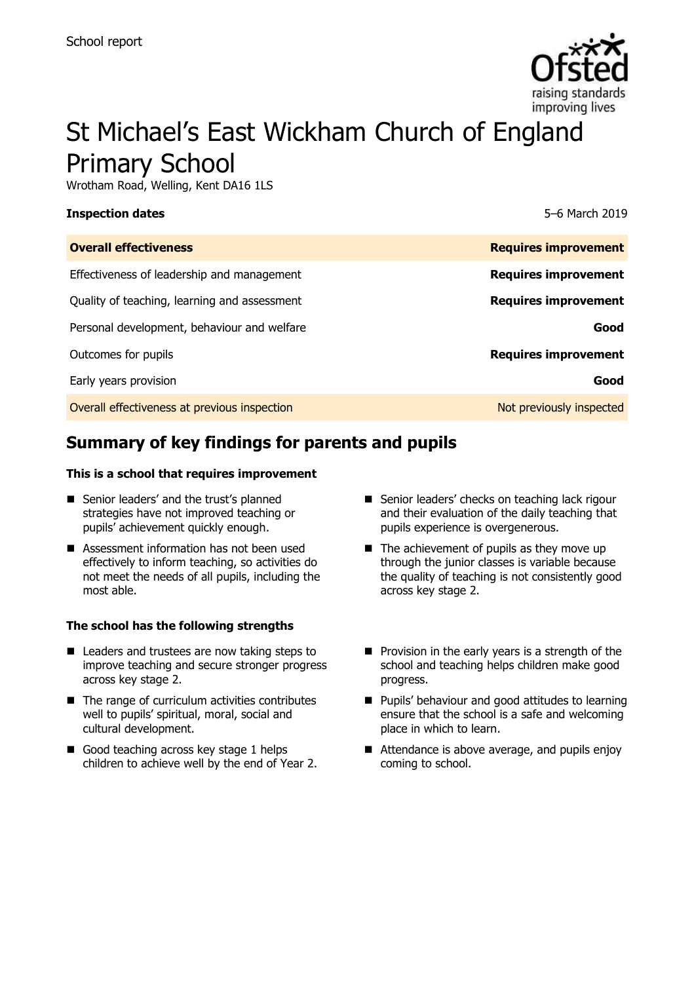

# St Michael's East Wickham Church of England Primary School

Wrotham Road, Welling, Kent DA16 1LS

| Inspection dates |  |
|------------------|--|
|------------------|--|

**Inspection dates** 5–6 March 2019

| <b>Overall effectiveness</b>                 | <b>Requires improvement</b> |
|----------------------------------------------|-----------------------------|
| Effectiveness of leadership and management   | <b>Requires improvement</b> |
| Quality of teaching, learning and assessment | <b>Requires improvement</b> |
| Personal development, behaviour and welfare  | Good                        |
| Outcomes for pupils                          | <b>Requires improvement</b> |
| Early years provision                        | Good                        |
| Overall effectiveness at previous inspection | Not previously inspected    |

# **Summary of key findings for parents and pupils**

#### **This is a school that requires improvement**

- Senior leaders' and the trust's planned strategies have not improved teaching or pupils' achievement quickly enough.
- Assessment information has not been used effectively to inform teaching, so activities do not meet the needs of all pupils, including the most able.

#### **The school has the following strengths**

- Leaders and trustees are now taking steps to improve teaching and secure stronger progress across key stage 2.
- $\blacksquare$  The range of curriculum activities contributes well to pupils' spiritual, moral, social and cultural development.
- Good teaching across key stage 1 helps children to achieve well by the end of Year 2.
- Senior leaders' checks on teaching lack rigour and their evaluation of the daily teaching that pupils experience is overgenerous.
- $\blacksquare$  The achievement of pupils as they move up through the junior classes is variable because the quality of teaching is not consistently good across key stage 2.
- $\blacksquare$  Provision in the early years is a strength of the school and teaching helps children make good progress.
- **Pupils' behaviour and good attitudes to learning** ensure that the school is a safe and welcoming place in which to learn.
- Attendance is above average, and pupils enjoy coming to school.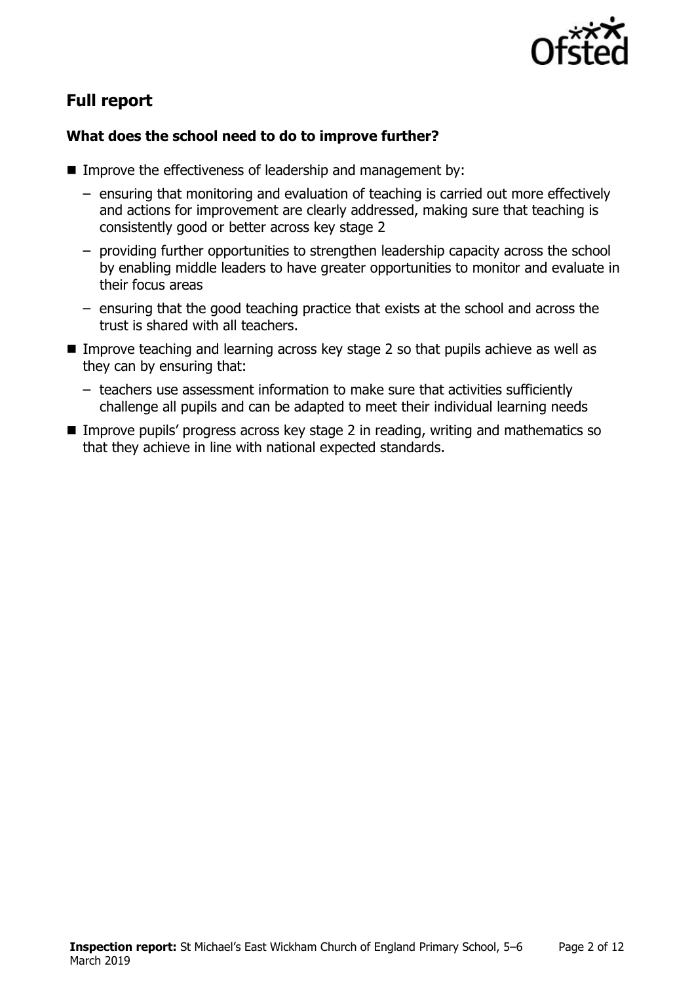

# **Full report**

### **What does the school need to do to improve further?**

- Improve the effectiveness of leadership and management by:
	- ensuring that monitoring and evaluation of teaching is carried out more effectively and actions for improvement are clearly addressed, making sure that teaching is consistently good or better across key stage 2
	- providing further opportunities to strengthen leadership capacity across the school by enabling middle leaders to have greater opportunities to monitor and evaluate in their focus areas
	- ensuring that the good teaching practice that exists at the school and across the trust is shared with all teachers.
- Improve teaching and learning across key stage 2 so that pupils achieve as well as they can by ensuring that:
	- teachers use assessment information to make sure that activities sufficiently challenge all pupils and can be adapted to meet their individual learning needs
- Improve pupils' progress across key stage 2 in reading, writing and mathematics so that they achieve in line with national expected standards.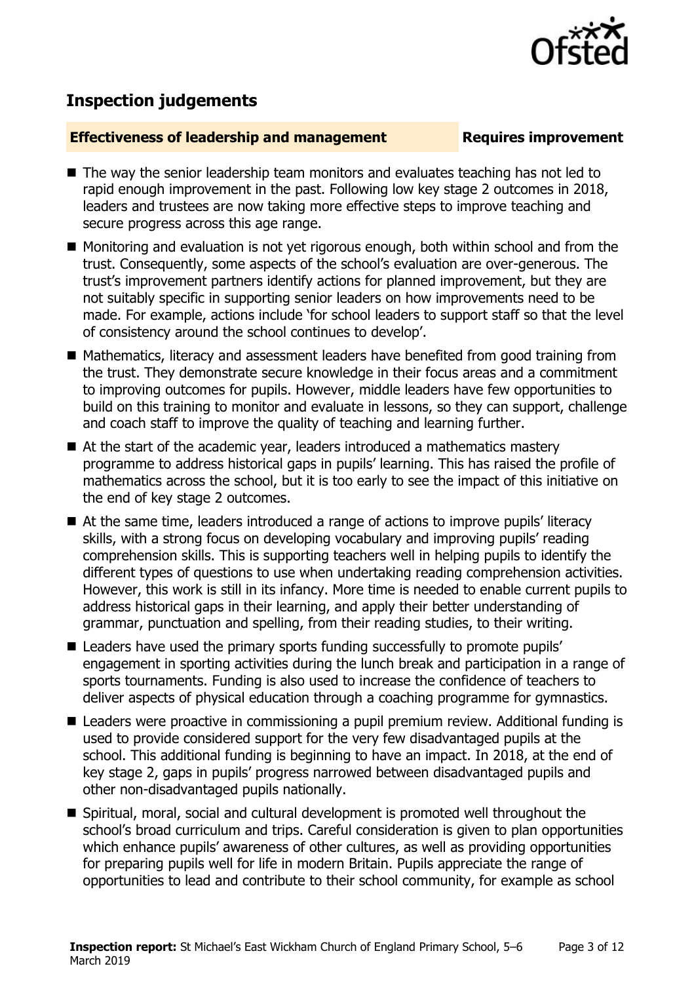

# **Inspection judgements**

#### **Effectiveness of leadership and management Requires improvement**

- The way the senior leadership team monitors and evaluates teaching has not led to rapid enough improvement in the past. Following low key stage 2 outcomes in 2018, leaders and trustees are now taking more effective steps to improve teaching and secure progress across this age range.
- Monitoring and evaluation is not yet rigorous enough, both within school and from the trust. Consequently, some aspects of the school's evaluation are over-generous. The trust's improvement partners identify actions for planned improvement, but they are not suitably specific in supporting senior leaders on how improvements need to be made. For example, actions include 'for school leaders to support staff so that the level of consistency around the school continues to develop'.
- Mathematics, literacy and assessment leaders have benefited from good training from the trust. They demonstrate secure knowledge in their focus areas and a commitment to improving outcomes for pupils. However, middle leaders have few opportunities to build on this training to monitor and evaluate in lessons, so they can support, challenge and coach staff to improve the quality of teaching and learning further.
- At the start of the academic year, leaders introduced a mathematics mastery programme to address historical gaps in pupils' learning. This has raised the profile of mathematics across the school, but it is too early to see the impact of this initiative on the end of key stage 2 outcomes.
- At the same time, leaders introduced a range of actions to improve pupils' literacy skills, with a strong focus on developing vocabulary and improving pupils' reading comprehension skills. This is supporting teachers well in helping pupils to identify the different types of questions to use when undertaking reading comprehension activities. However, this work is still in its infancy. More time is needed to enable current pupils to address historical gaps in their learning, and apply their better understanding of grammar, punctuation and spelling, from their reading studies, to their writing.
- Leaders have used the primary sports funding successfully to promote pupils' engagement in sporting activities during the lunch break and participation in a range of sports tournaments. Funding is also used to increase the confidence of teachers to deliver aspects of physical education through a coaching programme for gymnastics.
- Leaders were proactive in commissioning a pupil premium review. Additional funding is used to provide considered support for the very few disadvantaged pupils at the school. This additional funding is beginning to have an impact. In 2018, at the end of key stage 2, gaps in pupils' progress narrowed between disadvantaged pupils and other non-disadvantaged pupils nationally.
- Spiritual, moral, social and cultural development is promoted well throughout the school's broad curriculum and trips. Careful consideration is given to plan opportunities which enhance pupils' awareness of other cultures, as well as providing opportunities for preparing pupils well for life in modern Britain. Pupils appreciate the range of opportunities to lead and contribute to their school community, for example as school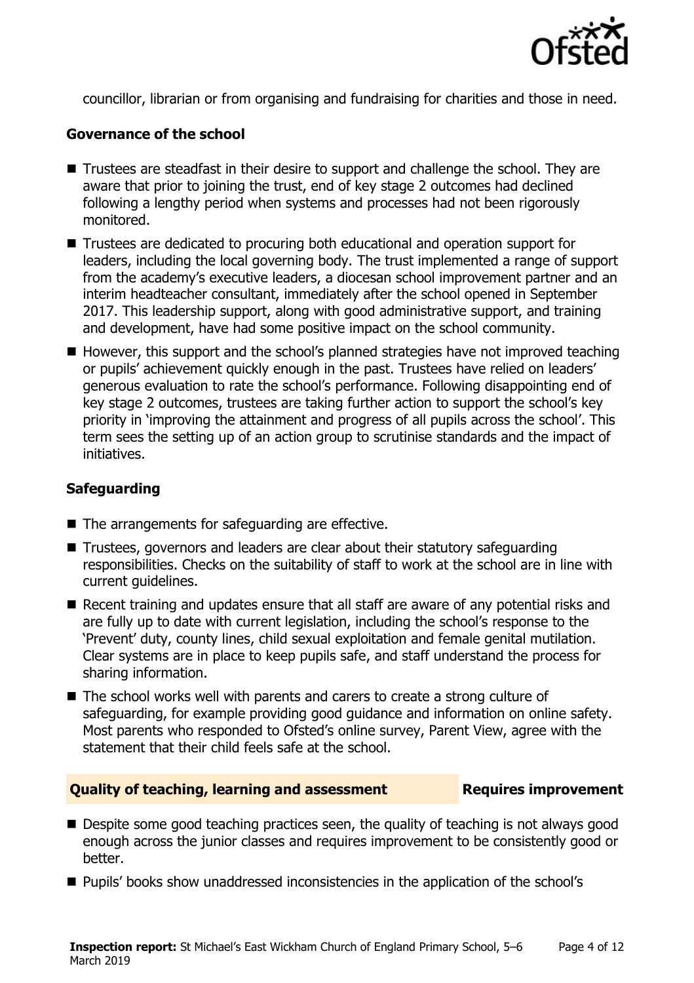

councillor, librarian or from organising and fundraising for charities and those in need.

### **Governance of the school**

- Trustees are steadfast in their desire to support and challenge the school. They are aware that prior to joining the trust, end of key stage 2 outcomes had declined following a lengthy period when systems and processes had not been rigorously monitored.
- Trustees are dedicated to procuring both educational and operation support for leaders, including the local governing body. The trust implemented a range of support from the academy's executive leaders, a diocesan school improvement partner and an interim headteacher consultant, immediately after the school opened in September 2017. This leadership support, along with good administrative support, and training and development, have had some positive impact on the school community.
- $\blacksquare$  However, this support and the school's planned strategies have not improved teaching or pupils' achievement quickly enough in the past. Trustees have relied on leaders' generous evaluation to rate the school's performance. Following disappointing end of key stage 2 outcomes, trustees are taking further action to support the school's key priority in 'improving the attainment and progress of all pupils across the school'. This term sees the setting up of an action group to scrutinise standards and the impact of initiatives.

### **Safeguarding**

- $\blacksquare$  The arrangements for safeguarding are effective.
- Trustees, governors and leaders are clear about their statutory safeguarding responsibilities. Checks on the suitability of staff to work at the school are in line with current guidelines.
- Recent training and updates ensure that all staff are aware of any potential risks and are fully up to date with current legislation, including the school's response to the 'Prevent' duty, county lines, child sexual exploitation and female genital mutilation. Clear systems are in place to keep pupils safe, and staff understand the process for sharing information.
- $\blacksquare$  The school works well with parents and carers to create a strong culture of safeguarding, for example providing good guidance and information on online safety. Most parents who responded to Ofsted's online survey, Parent View, agree with the statement that their child feels safe at the school.

#### **Quality of teaching, learning and assessment Requires improvement**

- Despite some good teaching practices seen, the quality of teaching is not always good enough across the junior classes and requires improvement to be consistently good or better.
- **Pupils' books show unaddressed inconsistencies in the application of the school's**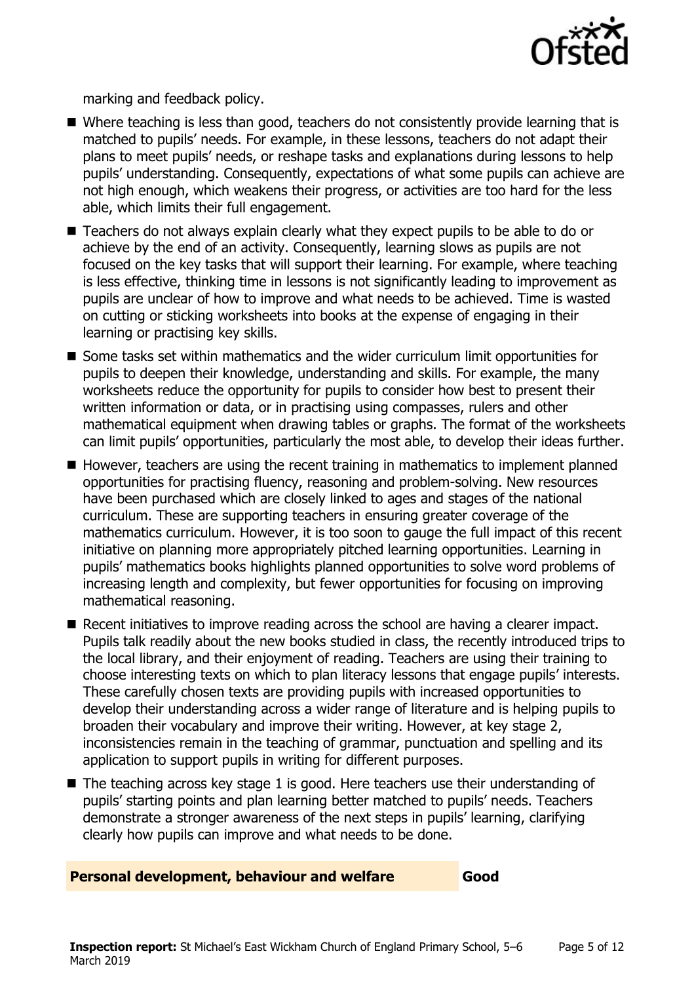

marking and feedback policy.

- Where teaching is less than good, teachers do not consistently provide learning that is matched to pupils' needs. For example, in these lessons, teachers do not adapt their plans to meet pupils' needs, or reshape tasks and explanations during lessons to help pupils' understanding. Consequently, expectations of what some pupils can achieve are not high enough, which weakens their progress, or activities are too hard for the less able, which limits their full engagement.
- Teachers do not always explain clearly what they expect pupils to be able to do or achieve by the end of an activity. Consequently, learning slows as pupils are not focused on the key tasks that will support their learning. For example, where teaching is less effective, thinking time in lessons is not significantly leading to improvement as pupils are unclear of how to improve and what needs to be achieved. Time is wasted on cutting or sticking worksheets into books at the expense of engaging in their learning or practising key skills.
- Some tasks set within mathematics and the wider curriculum limit opportunities for pupils to deepen their knowledge, understanding and skills. For example, the many worksheets reduce the opportunity for pupils to consider how best to present their written information or data, or in practising using compasses, rulers and other mathematical equipment when drawing tables or graphs. The format of the worksheets can limit pupils' opportunities, particularly the most able, to develop their ideas further.
- $\blacksquare$  However, teachers are using the recent training in mathematics to implement planned opportunities for practising fluency, reasoning and problem-solving. New resources have been purchased which are closely linked to ages and stages of the national curriculum. These are supporting teachers in ensuring greater coverage of the mathematics curriculum. However, it is too soon to gauge the full impact of this recent initiative on planning more appropriately pitched learning opportunities. Learning in pupils' mathematics books highlights planned opportunities to solve word problems of increasing length and complexity, but fewer opportunities for focusing on improving mathematical reasoning.
- Recent initiatives to improve reading across the school are having a clearer impact. Pupils talk readily about the new books studied in class, the recently introduced trips to the local library, and their enjoyment of reading. Teachers are using their training to choose interesting texts on which to plan literacy lessons that engage pupils' interests. These carefully chosen texts are providing pupils with increased opportunities to develop their understanding across a wider range of literature and is helping pupils to broaden their vocabulary and improve their writing. However, at key stage 2, inconsistencies remain in the teaching of grammar, punctuation and spelling and its application to support pupils in writing for different purposes.
- $\blacksquare$  The teaching across key stage 1 is good. Here teachers use their understanding of pupils' starting points and plan learning better matched to pupils' needs. Teachers demonstrate a stronger awareness of the next steps in pupils' learning, clarifying clearly how pupils can improve and what needs to be done.

#### **Personal development, behaviour and welfare Good**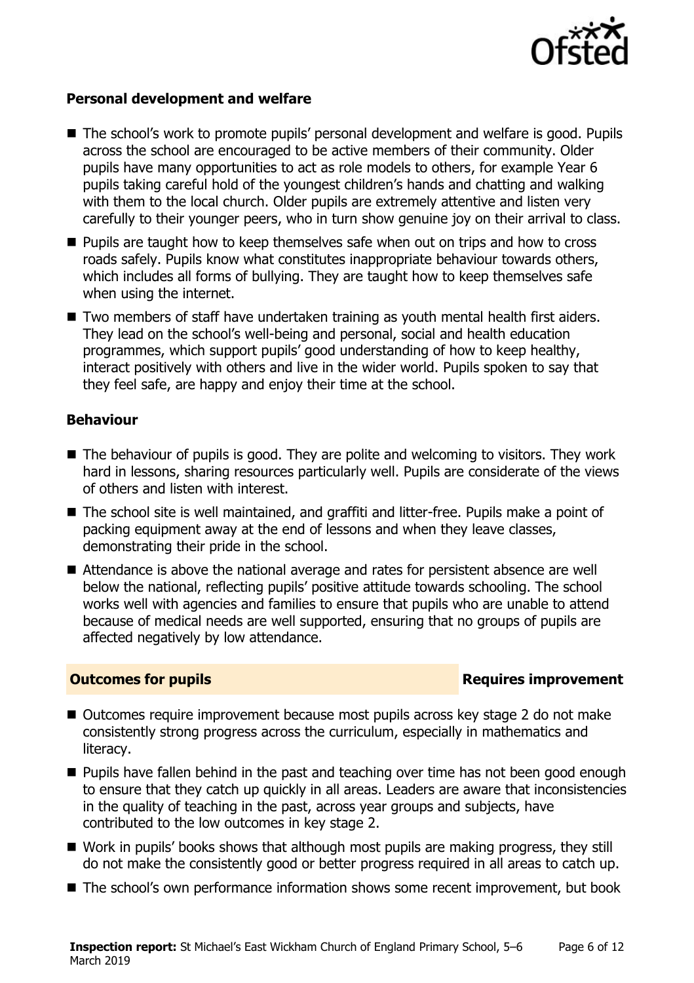

#### **Personal development and welfare**

- The school's work to promote pupils' personal development and welfare is good. Pupils across the school are encouraged to be active members of their community. Older pupils have many opportunities to act as role models to others, for example Year 6 pupils taking careful hold of the youngest children's hands and chatting and walking with them to the local church. Older pupils are extremely attentive and listen very carefully to their younger peers, who in turn show genuine joy on their arrival to class.
- **Pupils are taught how to keep themselves safe when out on trips and how to cross** roads safely. Pupils know what constitutes inappropriate behaviour towards others, which includes all forms of bullying. They are taught how to keep themselves safe when using the internet.
- Two members of staff have undertaken training as youth mental health first aiders. They lead on the school's well-being and personal, social and health education programmes, which support pupils' good understanding of how to keep healthy, interact positively with others and live in the wider world. Pupils spoken to say that they feel safe, are happy and enjoy their time at the school.

#### **Behaviour**

- $\blacksquare$  The behaviour of pupils is good. They are polite and welcoming to visitors. They work hard in lessons, sharing resources particularly well. Pupils are considerate of the views of others and listen with interest.
- The school site is well maintained, and graffiti and litter-free. Pupils make a point of packing equipment away at the end of lessons and when they leave classes, demonstrating their pride in the school.
- Attendance is above the national average and rates for persistent absence are well below the national, reflecting pupils' positive attitude towards schooling. The school works well with agencies and families to ensure that pupils who are unable to attend because of medical needs are well supported, ensuring that no groups of pupils are affected negatively by low attendance.

#### **Outcomes for pupils Requires improvement**

- Outcomes require improvement because most pupils across key stage 2 do not make consistently strong progress across the curriculum, especially in mathematics and literacy.
- **Pupils have fallen behind in the past and teaching over time has not been good enough** to ensure that they catch up quickly in all areas. Leaders are aware that inconsistencies in the quality of teaching in the past, across year groups and subjects, have contributed to the low outcomes in key stage 2.
- Work in pupils' books shows that although most pupils are making progress, they still do not make the consistently good or better progress required in all areas to catch up.
- The school's own performance information shows some recent improvement, but book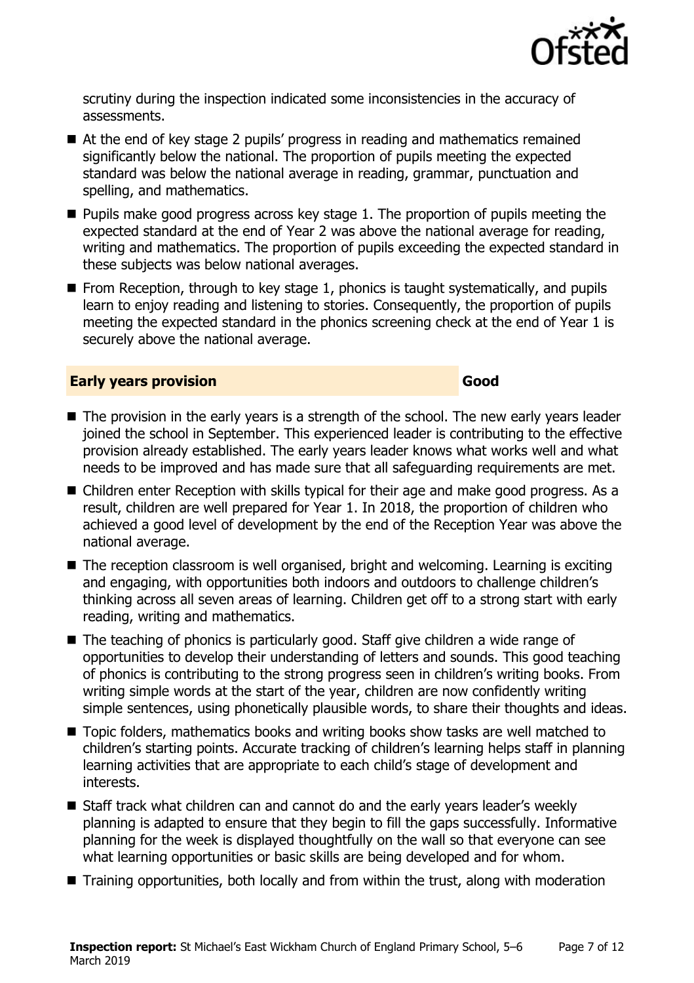

scrutiny during the inspection indicated some inconsistencies in the accuracy of assessments.

- At the end of key stage 2 pupils' progress in reading and mathematics remained significantly below the national. The proportion of pupils meeting the expected standard was below the national average in reading, grammar, punctuation and spelling, and mathematics.
- $\blacksquare$  Pupils make good progress across key stage 1. The proportion of pupils meeting the expected standard at the end of Year 2 was above the national average for reading, writing and mathematics. The proportion of pupils exceeding the expected standard in these subjects was below national averages.
- $\blacksquare$  From Reception, through to key stage 1, phonics is taught systematically, and pupils learn to enjoy reading and listening to stories. Consequently, the proportion of pupils meeting the expected standard in the phonics screening check at the end of Year 1 is securely above the national average.

#### **Early years provision Good Good**

- The provision in the early years is a strength of the school. The new early years leader joined the school in September. This experienced leader is contributing to the effective provision already established. The early years leader knows what works well and what needs to be improved and has made sure that all safeguarding requirements are met.
- Children enter Reception with skills typical for their age and make good progress. As a result, children are well prepared for Year 1. In 2018, the proportion of children who achieved a good level of development by the end of the Reception Year was above the national average.
- The reception classroom is well organised, bright and welcoming. Learning is exciting and engaging, with opportunities both indoors and outdoors to challenge children's thinking across all seven areas of learning. Children get off to a strong start with early reading, writing and mathematics.
- The teaching of phonics is particularly good. Staff give children a wide range of opportunities to develop their understanding of letters and sounds. This good teaching of phonics is contributing to the strong progress seen in children's writing books. From writing simple words at the start of the year, children are now confidently writing simple sentences, using phonetically plausible words, to share their thoughts and ideas.
- Topic folders, mathematics books and writing books show tasks are well matched to children's starting points. Accurate tracking of children's learning helps staff in planning learning activities that are appropriate to each child's stage of development and interests.
- Staff track what children can and cannot do and the early years leader's weekly planning is adapted to ensure that they begin to fill the gaps successfully. Informative planning for the week is displayed thoughtfully on the wall so that everyone can see what learning opportunities or basic skills are being developed and for whom.
- Training opportunities, both locally and from within the trust, along with moderation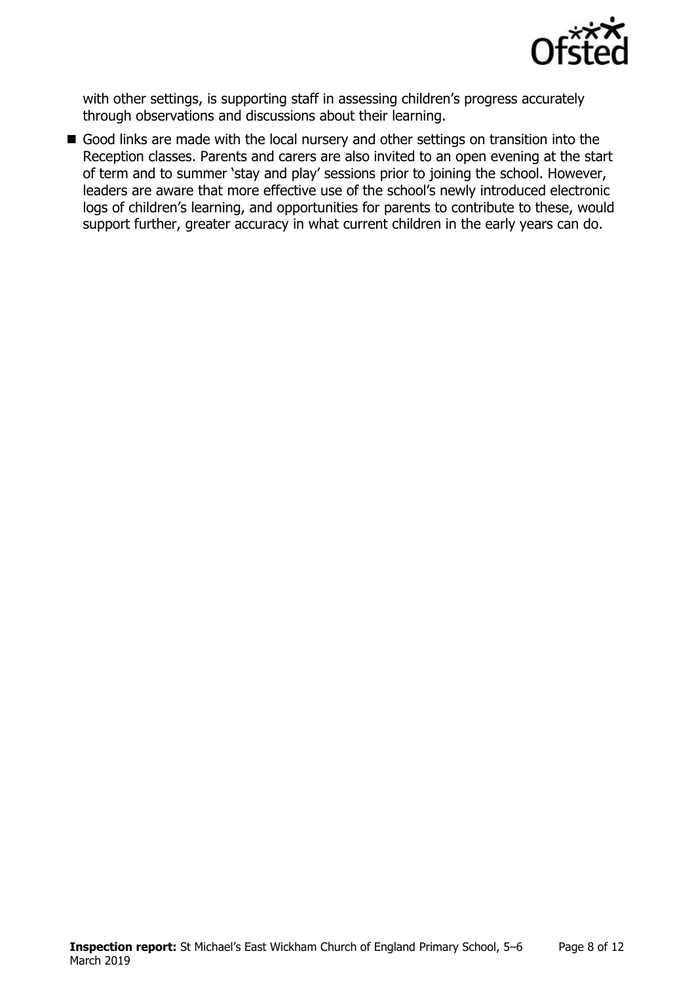

with other settings, is supporting staff in assessing children's progress accurately through observations and discussions about their learning.

Good links are made with the local nursery and other settings on transition into the Reception classes. Parents and carers are also invited to an open evening at the start of term and to summer 'stay and play' sessions prior to joining the school. However, leaders are aware that more effective use of the school's newly introduced electronic logs of children's learning, and opportunities for parents to contribute to these, would support further, greater accuracy in what current children in the early years can do.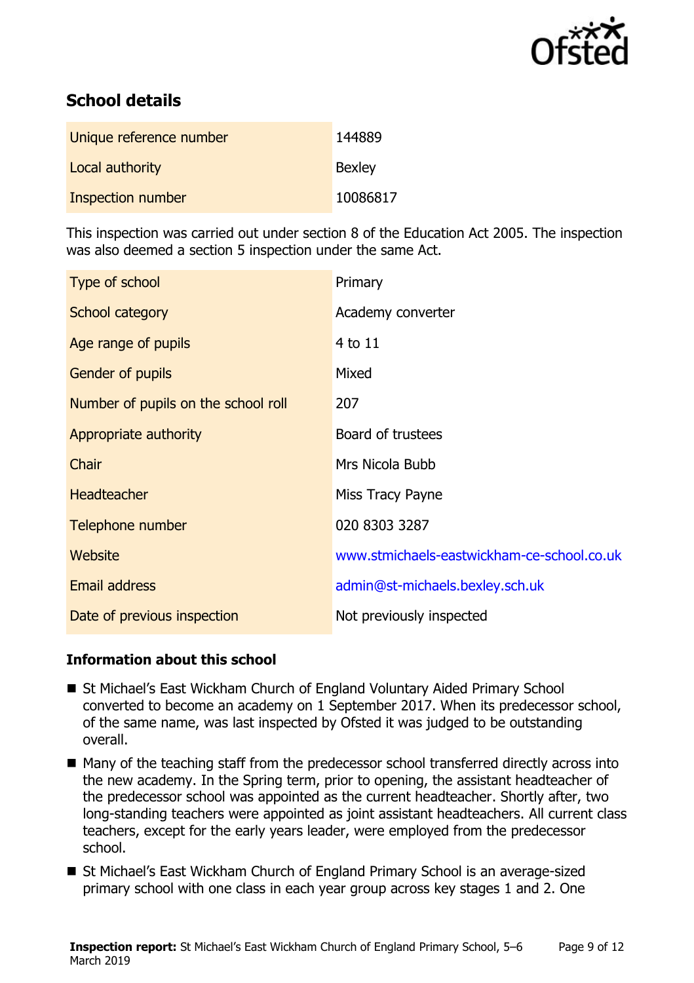

# **School details**

| Unique reference number | 144889        |
|-------------------------|---------------|
| Local authority         | <b>Bexley</b> |
| Inspection number       | 10086817      |

This inspection was carried out under section 8 of the Education Act 2005. The inspection was also deemed a section 5 inspection under the same Act.

| Type of school                      | Primary                                    |
|-------------------------------------|--------------------------------------------|
| School category                     | Academy converter                          |
| Age range of pupils                 | $4$ to $11$                                |
| <b>Gender of pupils</b>             | Mixed                                      |
| Number of pupils on the school roll | 207                                        |
| Appropriate authority               | Board of trustees                          |
| Chair                               | Mrs Nicola Bubb                            |
| <b>Headteacher</b>                  | Miss Tracy Payne                           |
| Telephone number                    | 020 8303 3287                              |
| Website                             | www.stmichaels-eastwickham-ce-school.co.uk |
| Email address                       | admin@st-michaels.bexley.sch.uk            |
| Date of previous inspection         | Not previously inspected                   |

### **Information about this school**

- St Michael's East Wickham Church of England Voluntary Aided Primary School converted to become an academy on 1 September 2017. When its predecessor school, of the same name, was last inspected by Ofsted it was judged to be outstanding overall.
- Many of the teaching staff from the predecessor school transferred directly across into the new academy. In the Spring term, prior to opening, the assistant headteacher of the predecessor school was appointed as the current headteacher. Shortly after, two long-standing teachers were appointed as joint assistant headteachers. All current class teachers, except for the early years leader, were employed from the predecessor school.
- St Michael's East Wickham Church of England Primary School is an average-sized primary school with one class in each year group across key stages 1 and 2. One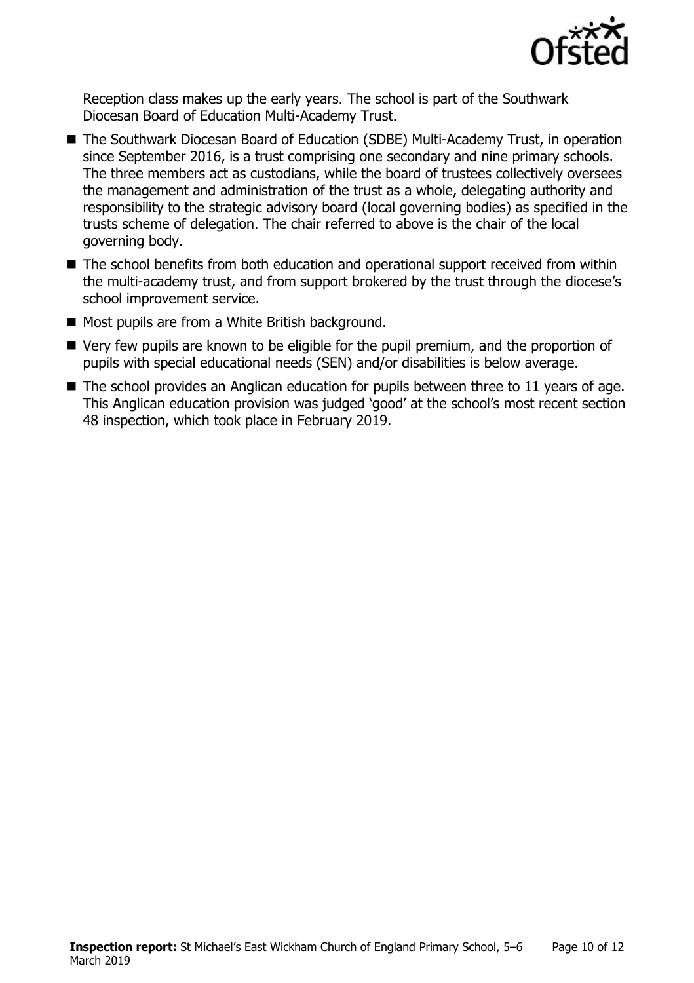

Reception class makes up the early years. The school is part of the Southwark Diocesan Board of Education Multi-Academy Trust.

- The Southwark Diocesan Board of Education (SDBE) Multi-Academy Trust, in operation since September 2016, is a trust comprising one secondary and nine primary schools. The three members act as custodians, while the board of trustees collectively oversees the management and administration of the trust as a whole, delegating authority and responsibility to the strategic advisory board (local governing bodies) as specified in the trusts scheme of delegation. The chair referred to above is the chair of the local governing body.
- The school benefits from both education and operational support received from within the multi-academy trust, and from support brokered by the trust through the diocese's school improvement service.
- Most pupils are from a White British background.
- Very few pupils are known to be eligible for the pupil premium, and the proportion of pupils with special educational needs (SEN) and/or disabilities is below average.
- $\blacksquare$  The school provides an Anglican education for pupils between three to 11 years of age. This Anglican education provision was judged 'good' at the school's most recent section 48 inspection, which took place in February 2019.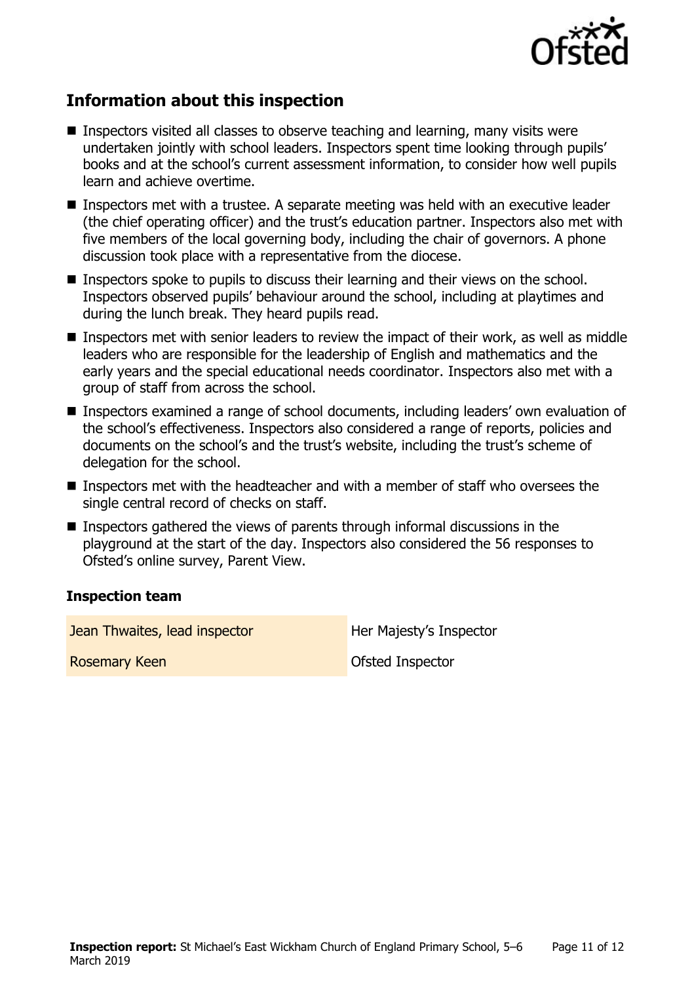

# **Information about this inspection**

- **Inspectors visited all classes to observe teaching and learning, many visits were** undertaken jointly with school leaders. Inspectors spent time looking through pupils' books and at the school's current assessment information, to consider how well pupils learn and achieve overtime.
- Inspectors met with a trustee. A separate meeting was held with an executive leader (the chief operating officer) and the trust's education partner. Inspectors also met with five members of the local governing body, including the chair of governors. A phone discussion took place with a representative from the diocese.
- Inspectors spoke to pupils to discuss their learning and their views on the school. Inspectors observed pupils' behaviour around the school, including at playtimes and during the lunch break. They heard pupils read.
- Inspectors met with senior leaders to review the impact of their work, as well as middle leaders who are responsible for the leadership of English and mathematics and the early years and the special educational needs coordinator. Inspectors also met with a group of staff from across the school.
- Inspectors examined a range of school documents, including leaders' own evaluation of the school's effectiveness. Inspectors also considered a range of reports, policies and documents on the school's and the trust's website, including the trust's scheme of delegation for the school.
- Inspectors met with the headteacher and with a member of staff who oversees the single central record of checks on staff.
- Inspectors gathered the views of parents through informal discussions in the playground at the start of the day. Inspectors also considered the 56 responses to Ofsted's online survey, Parent View.

#### **Inspection team**

**Jean Thwaites, lead inspector Figure 1.1 Her Majesty's Inspector** 

**Rosemary Keen Construction Construction Construction Construction Construction Construction Construction Construction Construction Construction Construction Construction Construction Construction Construction Construction**